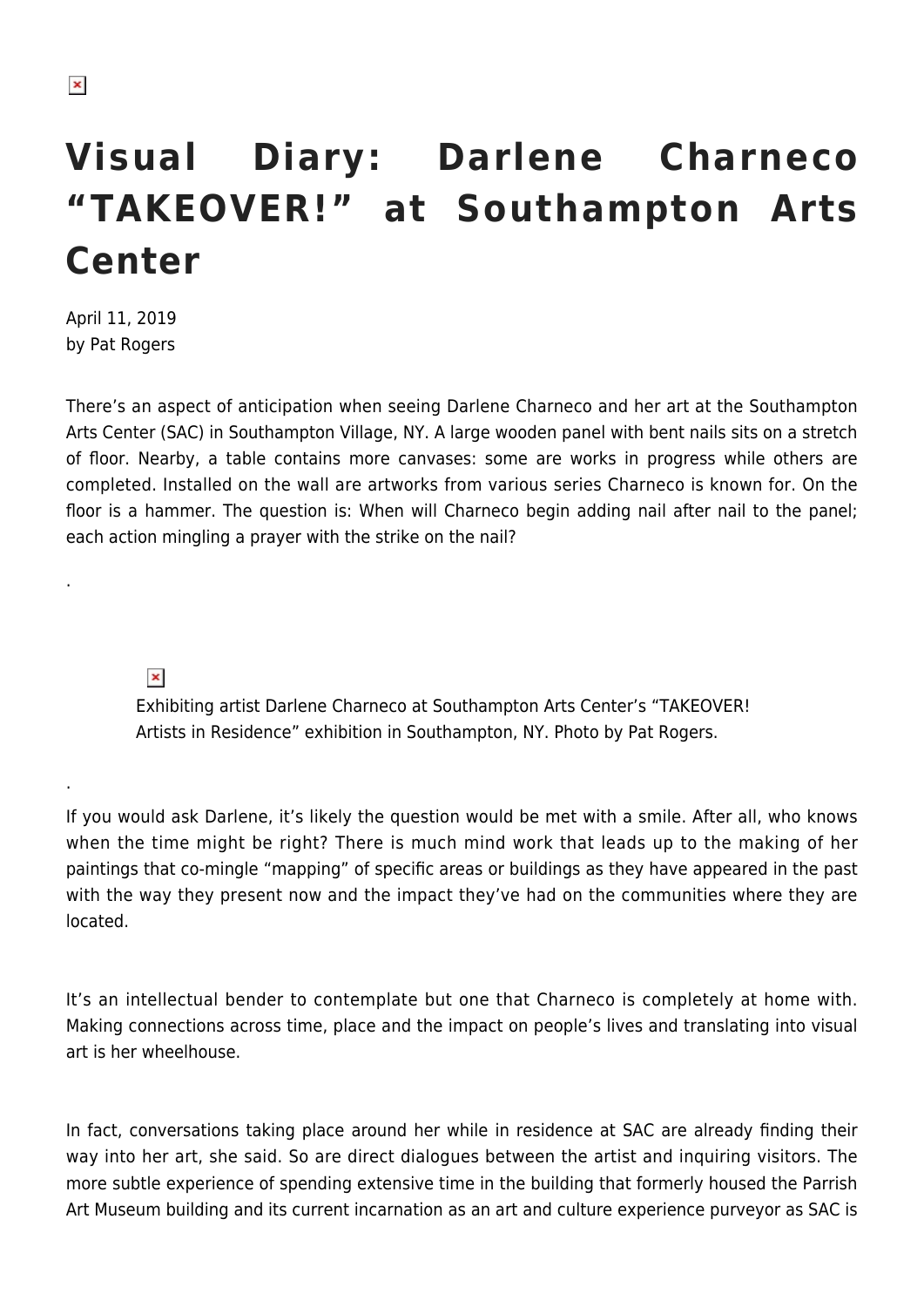## **Visual Diary: Darlene Charneco "TAKEOVER!" at Southampton Arts Center**

April 11, 2019 by Pat Rogers

.

.

There's an aspect of anticipation when seeing Darlene Charneco and her art at the Southampton Arts Center (SAC) in Southampton Village, NY. A large wooden panel with bent nails sits on a stretch of floor. Nearby, a table contains more canvases: some are works in progress while others are completed. Installed on the wall are artworks from various series Charneco is known for. On the floor is a hammer. The question is: When will Charneco begin adding nail after nail to the panel; each action mingling a prayer with the strike on the nail?

## $\pmb{\times}$

Exhibiting artist Darlene Charneco at Southampton Arts Center's "TAKEOVER! Artists in Residence" exhibition in Southampton, NY. Photo by Pat Rogers.

If you would ask Darlene, it's likely the question would be met with a smile. After all, who knows when the time might be right? There is much mind work that leads up to the making of her paintings that co-mingle "mapping" of specific areas or buildings as they have appeared in the past with the way they present now and the impact they've had on the communities where they are located.

It's an intellectual bender to contemplate but one that Charneco is completely at home with. Making connections across time, place and the impact on people's lives and translating into visual art is her wheelhouse.

In fact, conversations taking place around her while in residence at SAC are already finding their way into her art, she said. So are direct dialogues between the artist and inquiring visitors. The more subtle experience of spending extensive time in the building that formerly housed the Parrish Art Museum building and its current incarnation as an art and culture experience purveyor as SAC is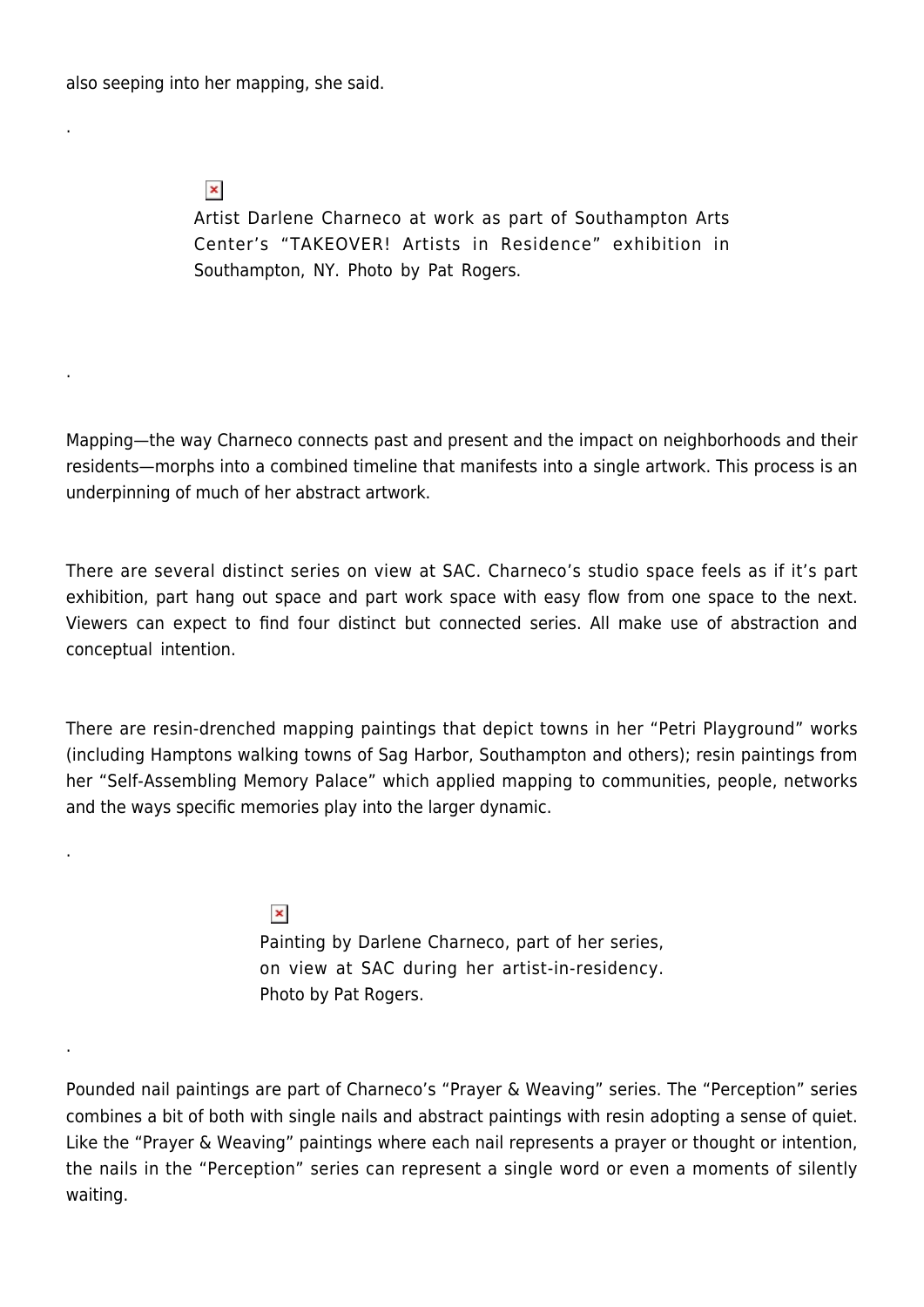also seeping into her mapping, she said.

 $\pmb{\times}$ 

.

.

.

.

Artist Darlene Charneco at work as part of Southampton Arts Center's "TAKEOVER! Artists in Residence" exhibition in Southampton, NY. Photo by Pat Rogers.

Mapping—the way Charneco connects past and present and the impact on neighborhoods and their residents—morphs into a combined timeline that manifests into a single artwork. This process is an underpinning of much of her abstract artwork.

There are several distinct series on view at SAC. Charneco's studio space feels as if it's part exhibition, part hang out space and part work space with easy flow from one space to the next. Viewers can expect to find four distinct but connected series. All make use of abstraction and conceptual intention.

There are resin-drenched mapping paintings that depict towns in her "Petri Playground" works (including Hamptons walking towns of Sag Harbor, Southampton and others); resin paintings from her "Self-Assembling Memory Palace" which applied mapping to communities, people, networks and the ways specific memories play into the larger dynamic.

> $\pmb{\times}$ Painting by Darlene Charneco, part of her series, on view at SAC during her artist-in-residency. Photo by Pat Rogers.

Pounded nail paintings are part of Charneco's "Prayer & Weaving" series. The "Perception" series combines a bit of both with single nails and abstract paintings with resin adopting a sense of quiet. Like the "Prayer & Weaving" paintings where each nail represents a prayer or thought or intention, the nails in the "Perception" series can represent a single word or even a moments of silently waiting.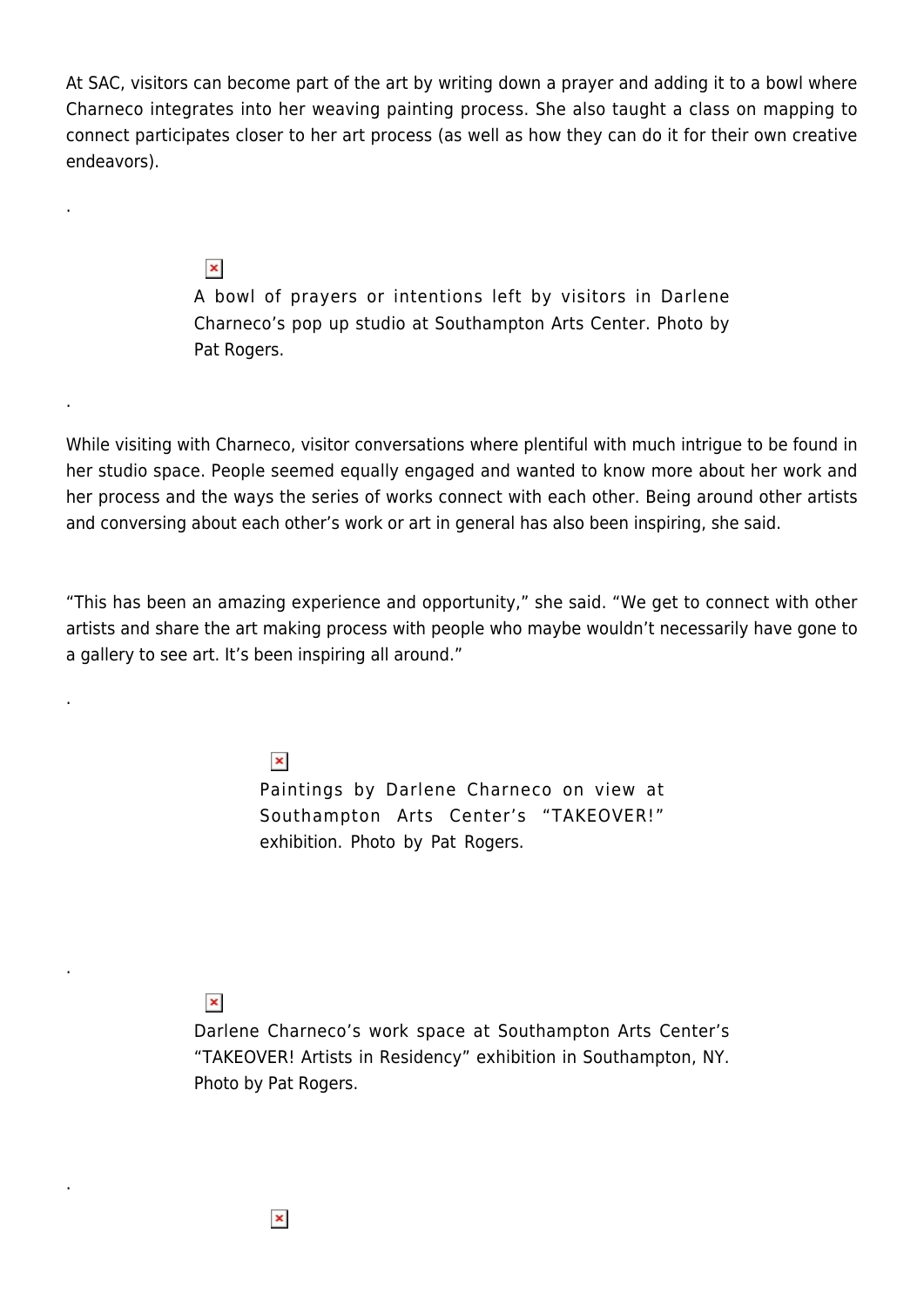At SAC, visitors can become part of the art by writing down a prayer and adding it to a bowl where Charneco integrates into her weaving painting process. She also taught a class on mapping to connect participates closer to her art process (as well as how they can do it for their own creative endeavors).

 $\pmb{\times}$ 

.

.

.

.

.

A bowl of prayers or intentions left by visitors in Darlene Charneco's pop up studio at Southampton Arts Center. Photo by Pat Rogers.

While visiting with Charneco, visitor conversations where plentiful with much intrigue to be found in her studio space. People seemed equally engaged and wanted to know more about her work and her process and the ways the series of works connect with each other. Being around other artists and conversing about each other's work or art in general has also been inspiring, she said.

"This has been an amazing experience and opportunity," she said. "We get to connect with other artists and share the art making process with people who maybe wouldn't necessarily have gone to a gallery to see art. It's been inspiring all around."

 $\pmb{\times}$ 

Paintings by Darlene Charneco on view at Southampton Arts Center's "TAKEOVER!" exhibition. Photo by Pat Rogers.

## $\pmb{\times}$

Darlene Charneco's work space at Southampton Arts Center's "TAKEOVER! Artists in Residency" exhibition in Southampton, NY. Photo by Pat Rogers.